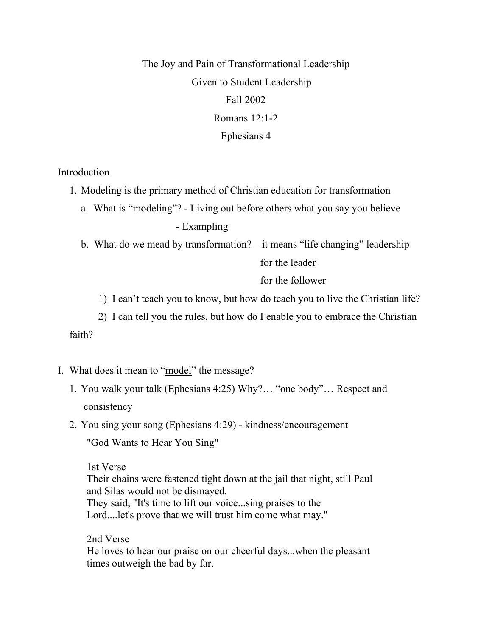The Joy and Pain of Transformational Leadership Given to Student Leadership Fall 2002 Romans 12:1-2 Ephesians 4

**Introduction** 

- 1. Modeling is the primary method of Christian education for transformation
	- a. What is "modeling"? Living out before others what you say you believe - Exampling
	- b. What do we mead by transformation? it means "life changing" leadership for the leader

for the follower

- 1) I can't teach you to know, but how do teach you to live the Christian life?
- 2) I can tell you the rules, but how do I enable you to embrace the Christian

faith?

- I. What does it mean to "model" the message?
	- 1. You walk your talk (Ephesians 4:25) Why?… "one body"… Respect and consistency
	- 2. You sing your song (Ephesians 4:29) kindness/encouragement "God Wants to Hear You Sing"

1st Verse Their chains were fastened tight down at the jail that night, still Paul and Silas would not be dismayed. They said, "It's time to lift our voice...sing praises to the Lord....let's prove that we will trust him come what may."

2nd Verse He loves to hear our praise on our cheerful days...when the pleasant times outweigh the bad by far.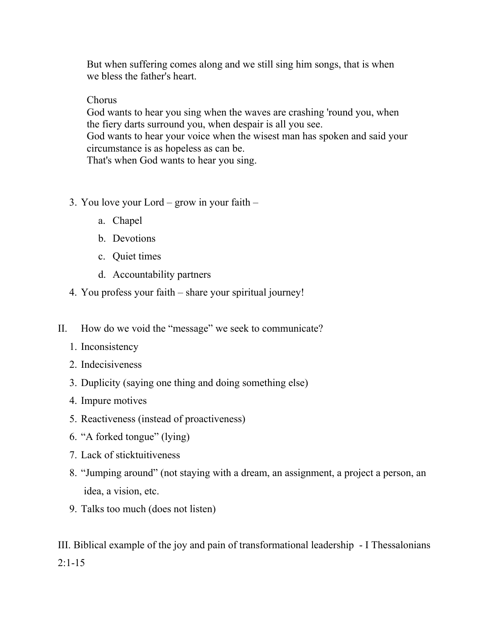But when suffering comes along and we still sing him songs, that is when we bless the father's heart.

## Chorus

God wants to hear you sing when the waves are crashing 'round you, when the fiery darts surround you, when despair is all you see. God wants to hear your voice when the wisest man has spoken and said your circumstance is as hopeless as can be.

That's when God wants to hear you sing.

- 3. You love your Lord grow in your faith
	- a. Chapel
	- b. Devotions
	- c. Quiet times
	- d. Accountability partners
- 4. You profess your faith share your spiritual journey!
- II. How do we void the "message" we seek to communicate?
	- 1. Inconsistency
	- 2. Indecisiveness
	- 3. Duplicity (saying one thing and doing something else)
	- 4. Impure motives
	- 5. Reactiveness (instead of proactiveness)
	- 6. "A forked tongue" (lying)
	- 7. Lack of sticktuitiveness
	- 8. "Jumping around" (not staying with a dream, an assignment, a project a person, an idea, a vision, etc.
	- 9. Talks too much (does not listen)

III. Biblical example of the joy and pain of transformational leadership - I Thessalonians  $2:1-15$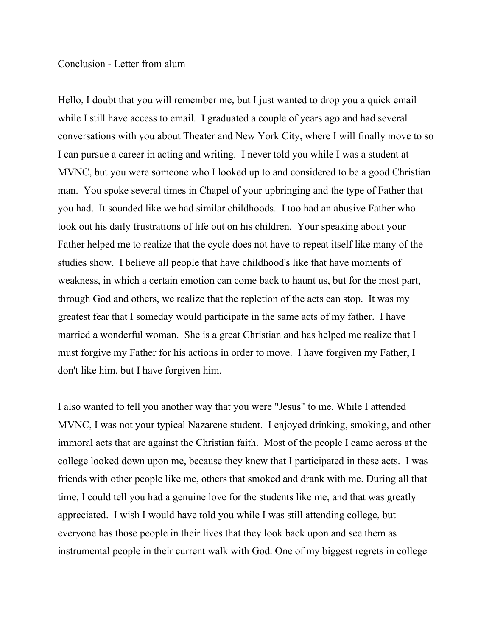## Conclusion - Letter from alum

Hello, I doubt that you will remember me, but I just wanted to drop you a quick email while I still have access to email. I graduated a couple of years ago and had several conversations with you about Theater and New York City, where I will finally move to so I can pursue a career in acting and writing. I never told you while I was a student at MVNC, but you were someone who I looked up to and considered to be a good Christian man. You spoke several times in Chapel of your upbringing and the type of Father that you had. It sounded like we had similar childhoods. I too had an abusive Father who took out his daily frustrations of life out on his children. Your speaking about your Father helped me to realize that the cycle does not have to repeat itself like many of the studies show. I believe all people that have childhood's like that have moments of weakness, in which a certain emotion can come back to haunt us, but for the most part, through God and others, we realize that the repletion of the acts can stop. It was my greatest fear that I someday would participate in the same acts of my father. I have married a wonderful woman. She is a great Christian and has helped me realize that I must forgive my Father for his actions in order to move. I have forgiven my Father, I don't like him, but I have forgiven him.

I also wanted to tell you another way that you were "Jesus" to me. While I attended MVNC, I was not your typical Nazarene student. I enjoyed drinking, smoking, and other immoral acts that are against the Christian faith. Most of the people I came across at the college looked down upon me, because they knew that I participated in these acts. I was friends with other people like me, others that smoked and drank with me. During all that time, I could tell you had a genuine love for the students like me, and that was greatly appreciated. I wish I would have told you while I was still attending college, but everyone has those people in their lives that they look back upon and see them as instrumental people in their current walk with God. One of my biggest regrets in college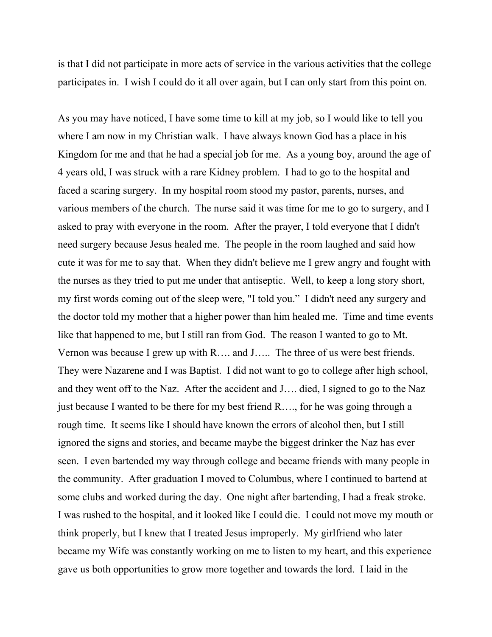is that I did not participate in more acts of service in the various activities that the college participates in. I wish I could do it all over again, but I can only start from this point on.

As you may have noticed, I have some time to kill at my job, so I would like to tell you where I am now in my Christian walk. I have always known God has a place in his Kingdom for me and that he had a special job for me. As a young boy, around the age of 4 years old, I was struck with a rare Kidney problem. I had to go to the hospital and faced a scaring surgery. In my hospital room stood my pastor, parents, nurses, and various members of the church. The nurse said it was time for me to go to surgery, and I asked to pray with everyone in the room. After the prayer, I told everyone that I didn't need surgery because Jesus healed me. The people in the room laughed and said how cute it was for me to say that. When they didn't believe me I grew angry and fought with the nurses as they tried to put me under that antiseptic. Well, to keep a long story short, my first words coming out of the sleep were, "I told you." I didn't need any surgery and the doctor told my mother that a higher power than him healed me. Time and time events like that happened to me, but I still ran from God. The reason I wanted to go to Mt. Vernon was because I grew up with R…. and J….. The three of us were best friends. They were Nazarene and I was Baptist. I did not want to go to college after high school, and they went off to the Naz. After the accident and J…. died, I signed to go to the Naz just because I wanted to be there for my best friend R…., for he was going through a rough time. It seems like I should have known the errors of alcohol then, but I still ignored the signs and stories, and became maybe the biggest drinker the Naz has ever seen. I even bartended my way through college and became friends with many people in the community. After graduation I moved to Columbus, where I continued to bartend at some clubs and worked during the day. One night after bartending, I had a freak stroke. I was rushed to the hospital, and it looked like I could die. I could not move my mouth or think properly, but I knew that I treated Jesus improperly. My girlfriend who later became my Wife was constantly working on me to listen to my heart, and this experience gave us both opportunities to grow more together and towards the lord. I laid in the